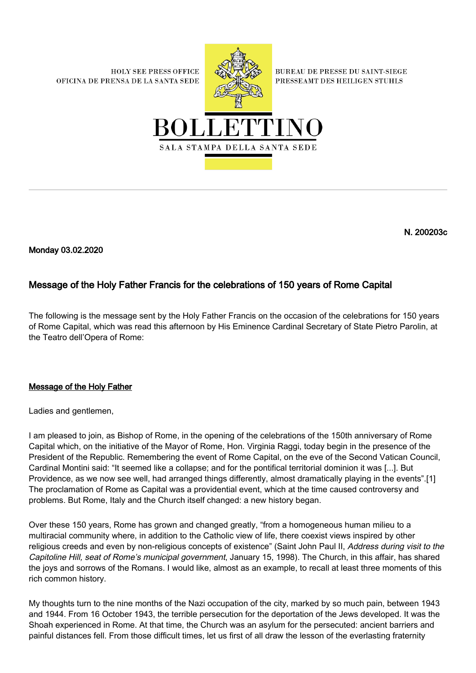**HOLY SEE PRESS OFFICE** OFICINA DE PRENSA DE LA SANTA SEDE



**BUREAU DE PRESSE DU SAINT-SIEGE** PRESSEAMT DES HEILIGEN STUHLS



N. 200203c

Monday 03.02.2020

## Message of the Holy Father Francis for the celebrations of 150 years of Rome Capital

The following is the message sent by the Holy Father Francis on the occasion of the celebrations for 150 years of Rome Capital, which was read this afternoon by His Eminence Cardinal Secretary of State Pietro Parolin, at the Teatro dell'Opera of Rome:

## Message of the Holy Father

Ladies and gentlemen,

I am pleased to join, as Bishop of Rome, in the opening of the celebrations of the 150th anniversary of Rome Capital which, on the initiative of the Mayor of Rome, Hon. Virginia Raggi, today begin in the presence of the President of the Republic. Remembering the event of Rome Capital, on the eve of the Second Vatican Council, Cardinal Montini said: "It seemed like a collapse; and for the pontifical territorial dominion it was [...]. But Providence, as we now see well, had arranged things differently, almost dramatically playing in the events".[1] The proclamation of Rome as Capital was a providential event, which at the time caused controversy and problems. But Rome, Italy and the Church itself changed: a new history began.

Over these 150 years, Rome has grown and changed greatly, "from a homogeneous human milieu to a multiracial community where, in addition to the Catholic view of life, there coexist views inspired by other religious creeds and even by non-religious concepts of existence" (Saint John Paul II, Address during visit to the Capitoline Hill, seat of Rome's municipal government, January 15, 1998). The Church, in this affair, has shared the joys and sorrows of the Romans. I would like, almost as an example, to recall at least three moments of this rich common history.

My thoughts turn to the nine months of the Nazi occupation of the city, marked by so much pain, between 1943 and 1944. From 16 October 1943, the terrible persecution for the deportation of the Jews developed. It was the Shoah experienced in Rome. At that time, the Church was an asylum for the persecuted: ancient barriers and painful distances fell. From those difficult times, let us first of all draw the lesson of the everlasting fraternity